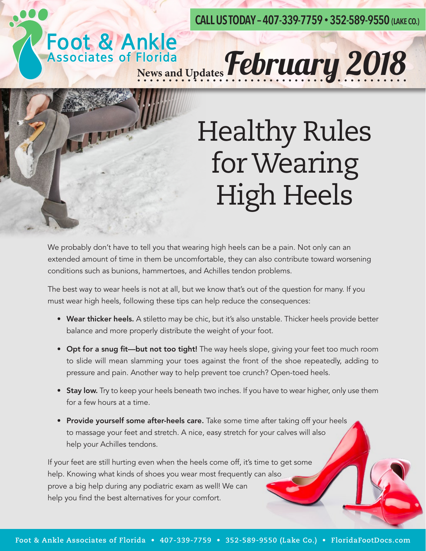**CALL US TODAY – 407-339-7759 • 352-589-9550 (LAKE CO.)**

# Foot & Ankle<br>Associates of Florida<br>News and Updates **February 2018**



## Healthy Rules for Wearing High Heels

We probably don't have to tell you that wearing high heels can be a pain. Not only can an extended amount of time in them be uncomfortable, they can also contribute toward worsening conditions such as bunions, hammertoes, and Achilles tendon problems.

The best way to wear heels is not at all, but we know that's out of the question for many. If you must wear high heels, following these tips can help reduce the consequences:

- Wear thicker heels. A stiletto may be chic, but it's also unstable. Thicker heels provide better balance and more properly distribute the weight of your foot.
- Opt for a snug fit—but not too tight! The way heels slope, giving your feet too much room to slide will mean slamming your toes against the front of the shoe repeatedly, adding to pressure and pain. Another way to help prevent toe crunch? Open-toed heels.
- Stay low. Try to keep your heels beneath two inches. If you have to wear higher, only use them for a few hours at a time.
- Provide yourself some after-heels care. Take some time after taking off your heels to massage your feet and stretch. A nice, easy stretch for your calves will also help your Achilles tendons.

If your feet are still hurting even when the heels come off, it's time to get some help. Knowing what kinds of shoes you wear most frequently can also prove a big help during any podiatric exam as well! We can help you find the best alternatives for your comfort.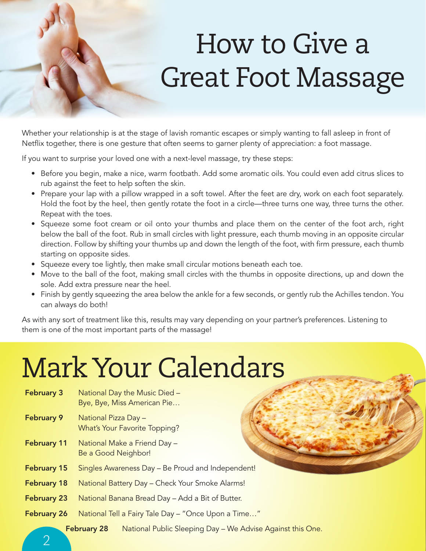## How to Give a Great Foot Massage

Whether your relationship is at the stage of lavish romantic escapes or simply wanting to fall asleep in front of Netflix together, there is one gesture that often seems to garner plenty of appreciation: a foot massage.

If you want to surprise your loved one with a next-level massage, try these steps:

- Before you begin, make a nice, warm footbath. Add some aromatic oils. You could even add citrus slices to rub against the feet to help soften the skin.
- Prepare your lap with a pillow wrapped in a soft towel. After the feet are dry, work on each foot separately. Hold the foot by the heel, then gently rotate the foot in a circle—three turns one way, three turns the other. Repeat with the toes.
- Squeeze some foot cream or oil onto your thumbs and place them on the center of the foot arch, right below the ball of the foot. Rub in small circles with light pressure, each thumb moving in an opposite circular direction. Follow by shifting your thumbs up and down the length of the foot, with firm pressure, each thumb starting on opposite sides.
- Squeeze every toe lightly, then make small circular motions beneath each toe.
- Move to the ball of the foot, making small circles with the thumbs in opposite directions, up and down the sole. Add extra pressure near the heel.
- Finish by gently squeezing the area below the ankle for a few seconds, or gently rub the Achilles tendon. You can always do both!

As with any sort of treatment like this, results may vary depending on your partner's preferences. Listening to them is one of the most important parts of the massage!

### Mark Your Calendars

- **February 3** National Day the Music Died Bye, Bye, Miss American Pie…
- February 9 National Pizza Day -What's Your Favorite Topping?
- February 11 National Make a Friend Day -Be a Good Neighbor!
- February 15 Singles Awareness Day Be Proud and Independent!
- February 18 National Battery Day Check Your Smoke Alarms!
- February 23 National Banana Bread Day Add a Bit of Butter.
- February 26 National Tell a Fairy Tale Day "Once Upon a Time..."

February 28 National Public Sleeping Day - We Advise Against this One.

 $\overline{\mathcal{L}}$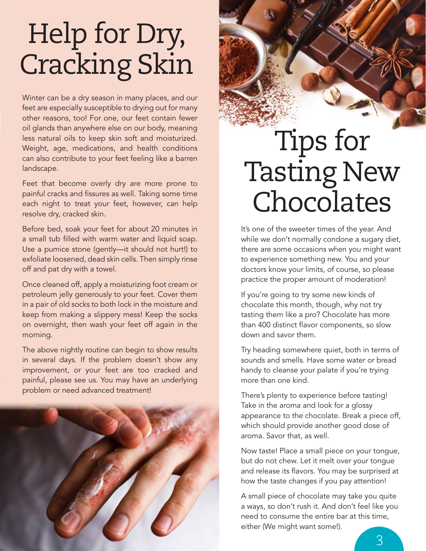## Help for Dry, Cracking Skin

Winter can be a dry season in many places, and our feet are especially susceptible to drying out for many other reasons, too! For one, our feet contain fewer oil glands than anywhere else on our body, meaning less natural oils to keep skin soft and moisturized. Weight, age, medications, and health conditions can also contribute to your feet feeling like a barren landscape.

Feet that become overly dry are more prone to painful cracks and fissures as well. Taking some time each night to treat your feet, however, can help resolve dry, cracked skin.

Before bed, soak your feet for about 20 minutes in a small tub filled with warm water and liquid soap. Use a pumice stone (gently—it should not hurt!) to exfoliate loosened, dead skin cells. Then simply rinse off and pat dry with a towel.

Once cleaned off, apply a moisturizing foot cream or petroleum jelly generously to your feet. Cover them in a pair of old socks to both lock in the moisture and keep from making a slippery mess! Keep the socks on overnight, then wash your feet off again in the morning.

The above nightly routine can begin to show results in several days. If the problem doesn't show any improvement, or your feet are too cracked and painful, please see us. You may have an underlying problem or need advanced treatment!



#### Tips for Tasting New Chocolates

It's one of the sweeter times of the year. And while we don't normally condone a sugary diet, there are some occasions when you might want to experience something new. You and your doctors know your limits, of course, so please practice the proper amount of moderation!

If you're going to try some new kinds of chocolate this month, though, why not try tasting them like a pro? Chocolate has more than 400 distinct flavor components, so slow down and savor them.

Try heading somewhere quiet, both in terms of sounds and smells. Have some water or bread handy to cleanse your palate if you're trying more than one kind.

There's plenty to experience before tasting! Take in the aroma and look for a glossy appearance to the chocolate. Break a piece off, which should provide another good dose of aroma. Savor that, as well.

Now taste! Place a small piece on your tongue, but do not chew. Let it melt over your tongue and release its flavors. You may be surprised at how the taste changes if you pay attention!

A small piece of chocolate may take you quite a ways, so don't rush it. And don't feel like you need to consume the entire bar at this time, either (We might want some!).